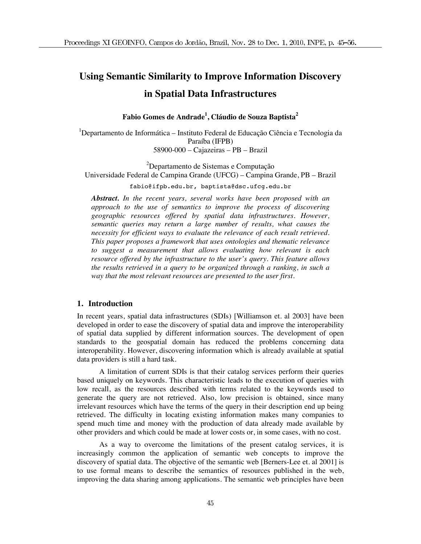# **Using Semantic Similarity to Improve Information Discovery in Spatial Data Infrastructures**

**Fabio Gomes de Andrade1 , Cláudio de Souza Baptista<sup>2</sup>**

<sup>1</sup>Departamento de Informática – Instituto Federal de Educação Ciência e Tecnologia da Paraíba (IFPB) 58900-000 – Cajazeiras – PB – Brazil

<sup>2</sup>Departamento de Sistemas e Computação Universidade Federal de Campina Grande (UFCG) – Campina Grande, PB – Brazil

fabio@ifpb.edu.br, baptista@dsc.ufcg.edu.br

*Abstract. In the recent years, several works have been proposed with an approach to the use of semantics to improve the process of discovering geographic resources offered by spatial data infrastructures. However, semantic queries may return a large number of results, what causes the necessity for efficient ways to evaluate the relevance of each result retrieved. This paper proposes a framework that uses ontologies and thematic relevance to suggest a measurement that allows evaluating how relevant is each resource offered by the infrastructure to the user's query. This feature allows the results retrieved in a query to be organized through a ranking, in such a way that the most relevant resources are presented to the user first.* 

# **1. Introduction**

In recent years, spatial data infrastructures (SDIs) [Williamson et. al 2003] have been developed in order to ease the discovery of spatial data and improve the interoperability of spatial data supplied by different information sources. The development of open standards to the geospatial domain has reduced the problems concerning data interoperability. However, discovering information which is already available at spatial data providers is still a hard task.

A limitation of current SDIs is that their catalog services perform their queries based uniquely on keywords. This characteristic leads to the execution of queries with low recall, as the resources described with terms related to the keywords used to generate the query are not retrieved. Also, low precision is obtained, since many irrelevant resources which have the terms of the query in their description end up being retrieved. The difficulty in locating existing information makes many companies to spend much time and money with the production of data already made available by other providers and which could be made at lower costs or, in some cases, with no cost.

As a way to overcome the limitations of the present catalog services, it is increasingly common the application of semantic web concepts to improve the discovery of spatial data. The objective of the semantic web [Berners-Lee et. al 2001] is to use formal means to describe the semantics of resources published in the web, improving the data sharing among applications. The semantic web principles have been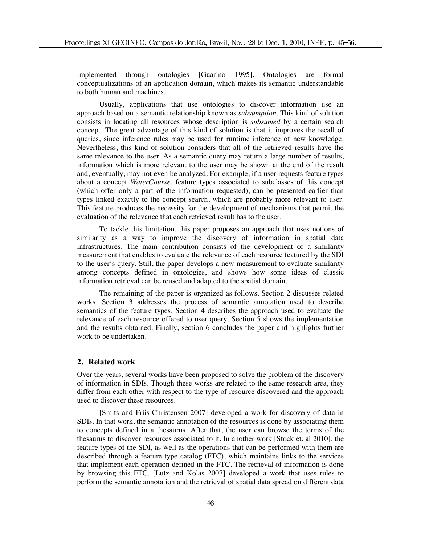implemented through ontologies [Guarino 1995]. Ontologies are formal conceptualizations of an application domain, which makes its semantic understandable to both human and machines.

Usually, applications that use ontologies to discover information use an approach based on a semantic relationship known as *subsumption*. This kind of solution consists in locating all resources whose description is *subsumed* by a certain search concept. The great advantage of this kind of solution is that it improves the recall of queries, since inference rules may be used for runtime inference of new knowledge. Nevertheless, this kind of solution considers that all of the retrieved results have the same relevance to the user. As a semantic query may return a large number of results, information which is more relevant to the user may be shown at the end of the result and, eventually, may not even be analyzed. For example, if a user requests feature types about a concept *WaterCourse*, feature types associated to subclasses of this concept (which offer only a part of the information requested), can be presented earlier than types linked exactly to the concept search, which are probably more relevant to user. This feature produces the necessity for the development of mechanisms that permit the evaluation of the relevance that each retrieved result has to the user.

To tackle this limitation, this paper proposes an approach that uses notions of similarity as a way to improve the discovery of information in spatial data infrastructures. The main contribution consists of the development of a similarity measurement that enables to evaluate the relevance of each resource featured by the SDI to the user's query. Still, the paper develops a new measurement to evaluate similarity among concepts defined in ontologies, and shows how some ideas of classic information retrieval can be reused and adapted to the spatial domain.

The remaining of the paper is organized as follows. Section 2 discusses related works. Section 3 addresses the process of semantic annotation used to describe semantics of the feature types. Section 4 describes the approach used to evaluate the relevance of each resource offered to user query. Section 5 shows the implementation and the results obtained. Finally, section 6 concludes the paper and highlights further work to be undertaken.

# **2. Related work**

Over the years, several works have been proposed to solve the problem of the discovery of information in SDIs. Though these works are related to the same research area, they differ from each other with respect to the type of resource discovered and the approach used to discover these resources.

[Smits and Friis-Christensen 2007] developed a work for discovery of data in SDIs. In that work, the semantic annotation of the resources is done by associating them to concepts defined in a thesaurus. After that, the user can browse the terms of the thesaurus to discover resources associated to it. In another work [Stock et. al 2010], the feature types of the SDI, as well as the operations that can be performed with them are described through a feature type catalog (FTC), which maintains links to the services that implement each operation defined in the FTC. The retrieval of information is done by browsing this FTC. [Lutz and Kolas 2007] developed a work that uses rules to perform the semantic annotation and the retrieval of spatial data spread on different data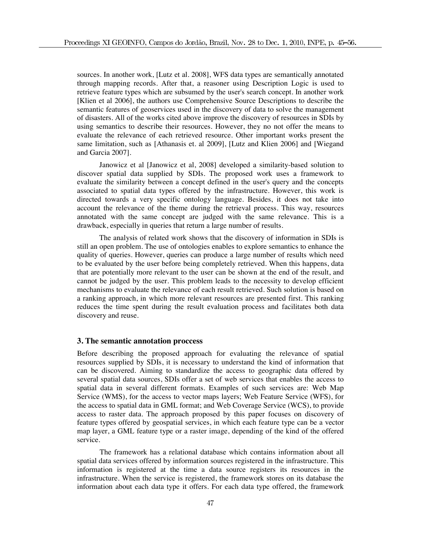sources. In another work, [Lutz et al. 2008], WFS data types are semantically annotated through mapping records. After that, a reasoner using Description Logic is used to retrieve feature types which are subsumed by the user's search concept. In another work [Klien et al 2006], the authors use Comprehensive Source Descriptions to describe the semantic features of geoservices used in the discovery of data to solve the management of disasters. All of the works cited above improve the discovery of resources in SDIs by using semantics to describe their resources. However, they no not offer the means to evaluate the relevance of each retrieved resource. Other important works present the same limitation, such as [Athanasis et. al 2009], [Lutz and Klien 2006] and [Wiegand and Garcia 2007].

Janowicz et al [Janowicz et al, 2008] developed a similarity-based solution to discover spatial data supplied by SDIs. The proposed work uses a framework to evaluate the similarity between a concept defined in the user's query and the concepts associated to spatial data types offered by the infrastructure. However, this work is directed towards a very specific ontology language. Besides, it does not take into account the relevance of the theme during the retrieval process. This way, resources annotated with the same concept are judged with the same relevance. This is a drawback, especially in queries that return a large number of results.

The analysis of related work shows that the discovery of information in SDIs is still an open problem. The use of ontologies enables to explore semantics to enhance the quality of queries. However, queries can produce a large number of results which need to be evaluated by the user before being completely retrieved. When this happens, data that are potentially more relevant to the user can be shown at the end of the result, and cannot be judged by the user. This problem leads to the necessity to develop efficient mechanisms to evaluate the relevance of each result retrieved. Such solution is based on a ranking approach, in which more relevant resources are presented first. This ranking reduces the time spent during the result evaluation process and facilitates both data discovery and reuse.

### **3. The semantic annotation proccess**

Before describing the proposed approach for evaluating the relevance of spatial resources supplied by SDIs, it is necessary to understand the kind of information that can be discovered. Aiming to standardize the access to geographic data offered by several spatial data sources, SDIs offer a set of web services that enables the access to spatial data in several different formats. Examples of such services are: Web Map Service (WMS), for the access to vector maps layers; Web Feature Service (WFS), for the access to spatial data in GML format; and Web Coverage Service (WCS), to provide access to raster data. The approach proposed by this paper focuses on discovery of feature types offered by geospatial services, in which each feature type can be a vector map layer, a GML feature type or a raster image, depending of the kind of the offered service.

 The framework has a relational database which contains information about all spatial data services offered by information sources registered in the infrastructure. This information is registered at the time a data source registers its resources in the infrastructure. When the service is registered, the framework stores on its database the information about each data type it offers. For each data type offered, the framework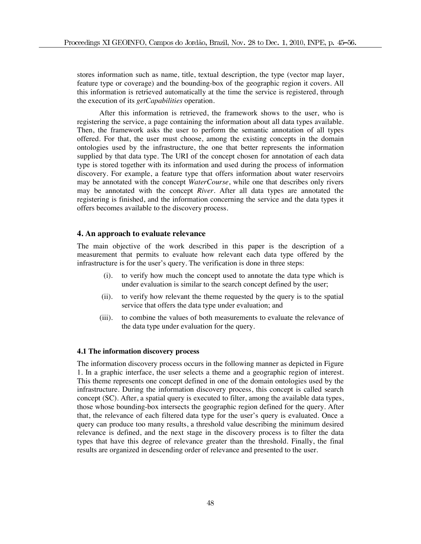stores information such as name, title, textual description, the type (vector map layer, feature type or coverage) and the bounding-box of the geographic region it covers. All this information is retrieved automatically at the time the service is registered, through the execution of its *getCapabilities* operation.

After this information is retrieved, the framework shows to the user, who is registering the service, a page containing the information about all data types available. Then, the framework asks the user to perform the semantic annotation of all types offered. For that, the user must choose, among the existing concepts in the domain ontologies used by the infrastructure, the one that better represents the information supplied by that data type. The URI of the concept chosen for annotation of each data type is stored together with its information and used during the process of information discovery. For example, a feature type that offers information about water reservoirs may be annotated with the concept *WaterCourse*, while one that describes only rivers may be annotated with the concept *River*. After all data types are annotated the registering is finished, and the information concerning the service and the data types it offers becomes available to the discovery process.

# **4. An approach to evaluate relevance**

The main objective of the work described in this paper is the description of a measurement that permits to evaluate how relevant each data type offered by the infrastructure is for the user's query. The verification is done in three steps:

- (i). to verify how much the concept used to annotate the data type which is under evaluation is similar to the search concept defined by the user;
- (ii). to verify how relevant the theme requested by the query is to the spatial service that offers the data type under evaluation; and
- (iii). to combine the values of both measurements to evaluate the relevance of the data type under evaluation for the query.

#### **4.1 The information discovery process**

The information discovery process occurs in the following manner as depicted in Figure 1. In a graphic interface, the user selects a theme and a geographic region of interest. This theme represents one concept defined in one of the domain ontologies used by the infrastructure. During the information discovery process, this concept is called search concept (SC). After, a spatial query is executed to filter, among the available data types, those whose bounding-box intersects the geographic region defined for the query. After that, the relevance of each filtered data type for the user's query is evaluated. Once a query can produce too many results, a threshold value describing the minimum desired relevance is defined, and the next stage in the discovery process is to filter the data types that have this degree of relevance greater than the threshold. Finally, the final results are organized in descending order of relevance and presented to the user.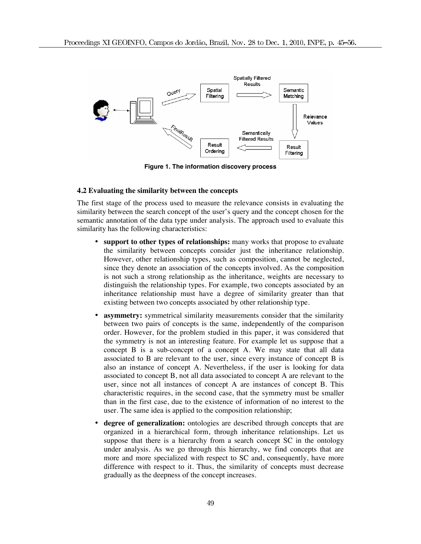

**Figure 1. The information discovery process** 

## **4.2 Evaluating the similarity between the concepts**

The first stage of the process used to measure the relevance consists in evaluating the similarity between the search concept of the user's query and the concept chosen for the semantic annotation of the data type under analysis. The approach used to evaluate this similarity has the following characteristics:

- **support to other types of relationships:** many works that propose to evaluate the similarity between concepts consider just the inheritance relationship. However, other relationship types, such as composition, cannot be neglected, since they denote an association of the concepts involved. As the composition is not such a strong relationship as the inheritance, weights are necessary to distinguish the relationship types. For example, two concepts associated by an inheritance relationship must have a degree of similarity greater than that existing between two concepts associated by other relationship type.
- **asymmetry:** symmetrical similarity measurements consider that the similarity between two pairs of concepts is the same, independently of the comparison order. However, for the problem studied in this paper, it was considered that the symmetry is not an interesting feature. For example let us suppose that a concept B is a sub-concept of a concept A. We may state that all data associated to B are relevant to the user, since every instance of concept B is also an instance of concept A. Nevertheless, if the user is looking for data associated to concept B, not all data associated to concept A are relevant to the user, since not all instances of concept A are instances of concept B. This characteristic requires, in the second case, that the symmetry must be smaller than in the first case, due to the existence of information of no interest to the user. The same idea is applied to the composition relationship;
- **degree of generalization:** ontologies are described through concepts that are organized in a hierarchical form, through inheritance relationships. Let us suppose that there is a hierarchy from a search concept SC in the ontology under analysis. As we go through this hierarchy, we find concepts that are more and more specialized with respect to SC and, consequently, have more difference with respect to it. Thus, the similarity of concepts must decrease gradually as the deepness of the concept increases.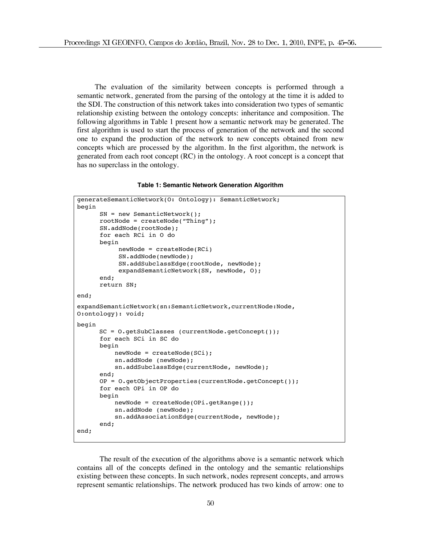The evaluation of the similarity between concepts is performed through a semantic network, generated from the parsing of the ontology at the time it is added to the SDI. The construction of this network takes into consideration two types of semantic relationship existing between the ontology concepts: inheritance and composition. The following algorithms in Table 1 present how a semantic network may be generated. The first algorithm is used to start the process of generation of the network and the second one to expand the production of the network to new concepts obtained from new concepts which are processed by the algorithm. In the first algorithm, the network is generated from each root concept (RC) in the ontology. A root concept is a concept that has no superclass in the ontology.

**Table 1: Semantic Network Generation Algorithm** 

```
generateSemanticNetwork(O: Ontology): SemanticNetwork; 
begin 
       SN = new SemanticNetwork(); 
       rootNode = createNode("Thing"); 
       SN.addNode(rootNode); 
       for each RCi in O do 
       begin 
             newNode = createNode(RCi) 
             SN.addNode(newNode); 
             SN.addSubclassEdge(rootNode, newNode); 
             expandSemanticNetwork(SN, newNode, O); 
       end; 
       return SN; 
end; 
expandSemanticNetwork(sn:SemanticNetwork,currentNode:Node, 
O:ontology): void; 
begin 
      SC = O.getSubClasses (currentNode.getConcept()); 
       for each SCi in SC do 
       begin 
           newNode = createNode(SCi); 
            sn.addNode (newNode); 
           sn.addSubclassEdge(currentNode, newNode);
       end; 
       OP = O.getObjectProperties(currentNode.getConcept()); 
       for each OPi in OP do 
       begin 
            newNode = createNode(OPi.getRange()); 
            sn.addNode (newNode); 
            sn.addAssociationEdge(currentNode, newNode); 
       end; 
end;
```
 The result of the execution of the algorithms above is a semantic network which contains all of the concepts defined in the ontology and the semantic relationships existing between these concepts. In such network, nodes represent concepts, and arrows represent semantic relationships. The network produced has two kinds of arrow: one to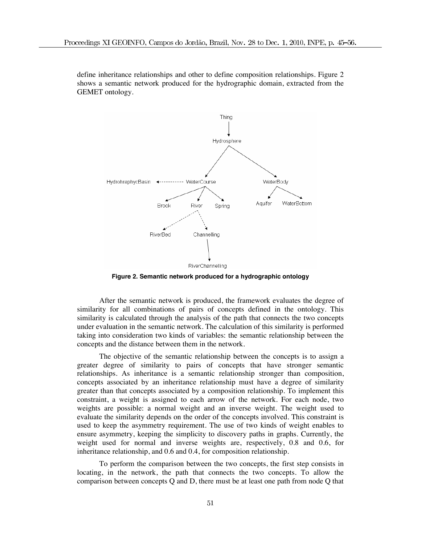define inheritance relationships and other to define composition relationships. Figure 2 shows a semantic network produced for the hydrographic domain, extracted from the GEMET ontology.



**Figure 2. Semantic network produced for a hydrographic ontology** 

After the semantic network is produced, the framework evaluates the degree of similarity for all combinations of pairs of concepts defined in the ontology. This similarity is calculated through the analysis of the path that connects the two concepts under evaluation in the semantic network. The calculation of this similarity is performed taking into consideration two kinds of variables: the semantic relationship between the concepts and the distance between them in the network.

The objective of the semantic relationship between the concepts is to assign a greater degree of similarity to pairs of concepts that have stronger semantic relationships. As inheritance is a semantic relationship stronger than composition, concepts associated by an inheritance relationship must have a degree of similarity greater than that concepts associated by a composition relationship. To implement this constraint, a weight is assigned to each arrow of the network. For each node, two weights are possible: a normal weight and an inverse weight. The weight used to evaluate the similarity depends on the order of the concepts involved. This constraint is used to keep the asymmetry requirement. The use of two kinds of weight enables to ensure asymmetry, keeping the simplicity to discovery paths in graphs. Currently, the weight used for normal and inverse weights are, respectively, 0.8 and 0.6, for inheritance relationship, and 0.6 and 0.4, for composition relationship.

To perform the comparison between the two concepts, the first step consists in locating, in the network, the path that connects the two concepts. To allow the comparison between concepts Q and D, there must be at least one path from node Q that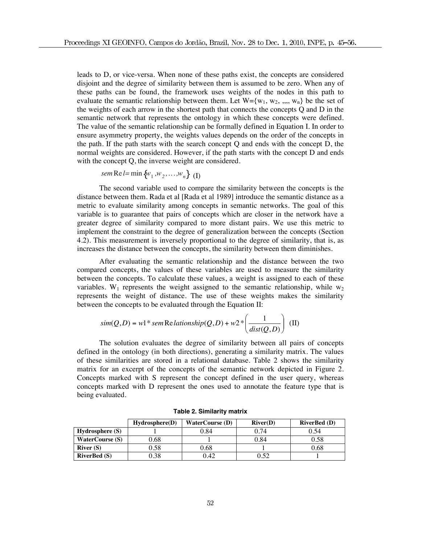leads to D, or vice-versa. When none of these paths exist, the concepts are considered disjoint and the degree of similarity between them is assumed to be zero. When any of these paths can be found, the framework uses weights of the nodes in this path to evaluate the semantic relationship between them. Let  $W = \{w_1, w_2, ..., w_n\}$  be the set of the weights of each arrow in the shortest path that connects the concepts Q and D in the semantic network that represents the ontology in which these concepts were defined. The value of the semantic relationship can be formally defined in Equation I. In order to ensure asymmetry property, the weights values depends on the order of the concepts in the path. If the path starts with the search concept Q and ends with the concept D, the normal weights are considered. However, if the path starts with the concept D and ends with the concept Q, the inverse weight are considered.

*sem Re l*= min {
$$
w_1
$$
,  $w_2$ ,..., $w_n$ } (I)

The second variable used to compare the similarity between the concepts is the distance between them. Rada et al [Rada et al 1989] introduce the semantic distance as a metric to evaluate similarity among concepts in semantic networks. The goal of this variable is to guarantee that pairs of concepts which are closer in the network have a greater degree of similarity compared to more distant pairs. We use this metric to implement the constraint to the degree of generalization between the concepts (Section 4.2). This measurement is inversely proportional to the degree of similarity, that is, as increases the distance between the concepts, the similarity between them diminishes.

After evaluating the semantic relationship and the distance between the two compared concepts, the values of these variables are used to measure the similarity between the concepts. To calculate these values, a weight is assigned to each of these variables. W<sub>1</sub> represents the weight assigned to the semantic relationship, while  $w_2$ represents the weight of distance. The use of these weights makes the similarity between the concepts to be evaluated through the Equation II:

$$
sim(Q, D) = w1*sem \text{Re} \text{ lationship}(Q, D) + w2* \left(\frac{1}{\text{dist}(Q, D)}\right) \text{ (II)}
$$

The solution evaluates the degree of similarity between all pairs of concepts defined in the ontology (in both directions), generating a similarity matrix. The values of these similarities are stored in a relational database. Table 2 shows the similarity matrix for an excerpt of the concepts of the semantic network depicted in Figure 2. Concepts marked with S represent the concept defined in the user query, whereas concepts marked with D represent the ones used to annotate the feature type that is being evaluated.

|                        | Hvdrosphere(D) | <b>WaterCourse (D)</b> | River(D) | <b>RiverBed</b> (D) |
|------------------------|----------------|------------------------|----------|---------------------|
| Hydrosphere(S)         |                | 0.84                   | 0.74     | 0.54                |
| <b>WaterCourse (S)</b> | 0.68           |                        | 0.84     | 0.58                |
| River $(S)$            | 0.58           | 0.68                   |          | 0.68                |
| <b>RiverBed (S)</b>    | 0.38           | 0.42                   | 0.52     |                     |

**Table 2. Similarity matrix**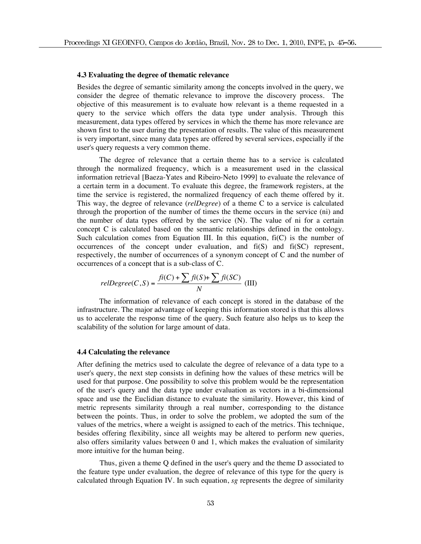#### **4.3 Evaluating the degree of thematic relevance**

Besides the degree of semantic similarity among the concepts involved in the query, we consider the degree of thematic relevance to improve the discovery process. The objective of this measurement is to evaluate how relevant is a theme requested in a query to the service which offers the data type under analysis. Through this measurement, data types offered by services in which the theme has more relevance are shown first to the user during the presentation of results. The value of this measurement is very important, since many data types are offered by several services, especially if the user's query requests a very common theme.

The degree of relevance that a certain theme has to a service is calculated through the normalized frequency, which is a measurement used in the classical information retrieval [Baeza-Yates and Ribeiro-Neto 1999] to evaluate the relevance of a certain term in a document. To evaluate this degree, the framework registers, at the time the service is registered, the normalized frequency of each theme offered by it. This way, the degree of relevance (*relDegree*) of a theme C to a service is calculated through the proportion of the number of times the theme occurs in the service (ni) and the number of data types offered by the service (N). The value of ni for a certain concept C is calculated based on the semantic relationships defined in the ontology. Such calculation comes from Equation III. In this equation,  $f_i(C)$  is the number of occurrences of the concept under evaluation, and  $f_i(S)$  and  $f_i(S)$  represent, respectively, the number of occurrences of a synonym concept of C and the number of occurrences of a concept that is a sub-class of C.

$$
relDegree(C, S) = \frac{f\hat{\imath}(C) + \sum f\hat{\imath}(S) + \sum f\hat{\imath}(SC)}{N}
$$
(III)

The information of relevance of each concept is stored in the database of the infrastructure. The major advantage of keeping this information stored is that this allows us to accelerate the response time of the query. Such feature also helps us to keep the scalability of the solution for large amount of data.

### **4.4 Calculating the relevance**

After defining the metrics used to calculate the degree of relevance of a data type to a user's query, the next step consists in defining how the values of these metrics will be used for that purpose. One possibility to solve this problem would be the representation of the user's query and the data type under evaluation as vectors in a bi-dimensional space and use the Euclidian distance to evaluate the similarity. However, this kind of metric represents similarity through a real number, corresponding to the distance between the points. Thus, in order to solve the problem, we adopted the sum of the values of the metrics, where a weight is assigned to each of the metrics. This technique, besides offering flexibility, since all weights may be altered to perform new queries, also offers similarity values between 0 and 1, which makes the evaluation of similarity more intuitive for the human being.

Thus, given a theme Q defined in the user's query and the theme D associated to the feature type under evaluation, the degree of relevance of this type for the query is calculated through Equation IV. In such equation, *sg* represents the degree of similarity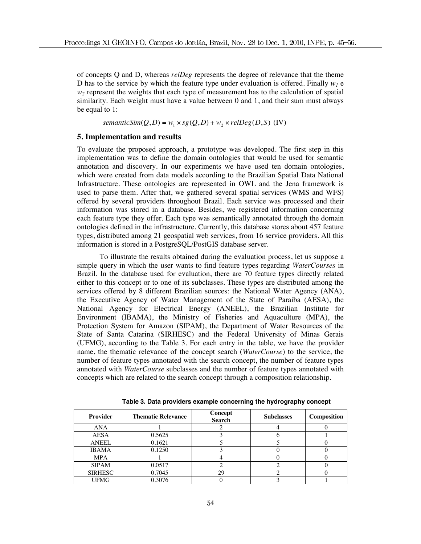of concepts Q and D, whereas *relDeg* represents the degree of relevance that the theme D has to the service by which the feature type under evaluation is offered. Finally  $w_l$  e  $w_2$  represent the weights that each type of measurement has to the calculation of spatial similarity. Each weight must have a value between 0 and 1, and their sum must always be equal to 1:

 $semanticSim(Q, D) = w_1 \times sg(Q, D) + w_2 \times relDeg(D, S)$  (IV)

# **5. Implementation and results**

To evaluate the proposed approach, a prototype was developed. The first step in this implementation was to define the domain ontologies that would be used for semantic annotation and discovery. In our experiments we have used ten domain ontologies, which were created from data models according to the Brazilian Spatial Data National Infrastructure. These ontologies are represented in OWL and the Jena framework is used to parse them. After that, we gathered several spatial services (WMS and WFS) offered by several providers throughout Brazil. Each service was processed and their information was stored in a database. Besides, we registered information concerning each feature type they offer. Each type was semantically annotated through the domain ontologies defined in the infrastructure. Currently, this database stores about 457 feature types, distributed among 21 geospatial web services, from 16 service providers. All this information is stored in a PostgreSQL/PostGIS database server.

 To illustrate the results obtained during the evaluation process, let us suppose a simple query in which the user wants to find feature types regarding *WaterCourses* in Brazil. In the database used for evaluation, there are 70 feature types directly related either to this concept or to one of its subclasses. These types are distributed among the services offered by 8 different Brazilian sources: the National Water Agency (ANA), the Executive Agency of Water Management of the State of Paraíba (AESA), the National Agency for Electrical Energy (ANEEL), the Brazilian Institute for Environment (IBAMA), the Ministry of Fisheries and Aquaculture (MPA), the Protection System for Amazon (SIPAM), the Department of Water Resources of the State of Santa Catarina (SIRHESC) and the Federal University of Minas Gerais (UFMG), according to the Table 3. For each entry in the table, we have the provider name, the thematic relevance of the concept search (*WaterCourse*) to the service, the number of feature types annotated with the search concept, the number of feature types annotated with *WaterCourse* subclasses and the number of feature types annotated with concepts which are related to the search concept through a composition relationship.

| Provider       | <b>Thematic Relevance</b> | Concept<br><b>Search</b> | <b>Subclasses</b> | Composition |
|----------------|---------------------------|--------------------------|-------------------|-------------|
| ANA            |                           |                          |                   |             |
| AESA           | 0.5625                    |                          |                   |             |
| <b>ANEEL</b>   | 0.1621                    |                          |                   |             |
| <b>IBAMA</b>   | 0.1250                    |                          |                   |             |
| <b>MPA</b>     |                           |                          |                   |             |
| <b>SIPAM</b>   | 0.0517                    |                          |                   |             |
| <b>SIRHESC</b> | 0.7045                    | 29                       |                   |             |
| <b>UFMG</b>    | 0.3076                    |                          |                   |             |

**Table 3. Data providers example concerning the hydrography concept**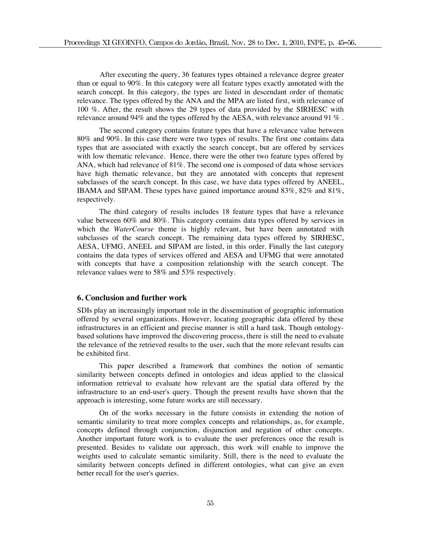After executing the query, 36 features types obtained a relevance degree greater than or equal to 90%. In this category were all feature types exactly annotated with the search concept. In this category, the types are listed in descendant order of thematic relevance. The types offered by the ANA and the MPA are listed first, with relevance of 100 %. After, the result shows the 29 types of data provided by the SIRHESC with relevance around 94% and the types offered by the AESA, with relevance around 91 % .

The second category contains feature types that have a relevance value between 80% and 90%. In this case there were two types of results. The first one contains data types that are associated with exactly the search concept, but are offered by services with low thematic relevance. Hence, there were the other two feature types offered by ANA, which had relevance of 81%. The second one is composed of data whose services have high thematic relevance, but they are annotated with concepts that represent subclasses of the search concept. In this case, we have data types offered by ANEEL, IBAMA and SIPAM. These types have gained importance around 83%, 82% and 81%, respectively.

The third category of results includes 18 feature types that have a relevance value between 60% and 80%. This category contains data types offered by services in which the *WaterCourse* theme is highly relevant, but have been annotated with subclasses of the search concept. The remaining data types offered by SIRHESC, AESA, UFMG, ANEEL and SIPAM are listed, in this order. Finally the last category contains the data types of services offered and AESA and UFMG that were annotated with concepts that have a composition relationship with the search concept. The relevance values were to 58% and 53% respectively.

# **6. Conclusion and further work**

SDIs play an increasingly important role in the dissemination of geographic information offered by several organizations. However, locating geographic data offered by these infrastructures in an efficient and precise manner is still a hard task. Though ontologybased solutions have improved the discovering process, there is still the need to evaluate the relevance of the retrieved results to the user, such that the more relevant results can be exhibited first.

This paper described a framework that combines the notion of semantic similarity between concepts defined in ontologies and ideas applied to the classical information retrieval to evaluate how relevant are the spatial data offered by the infrastructure to an end-user's query. Though the present results have shown that the approach is interesting, some future works are still necessary.

On of the works necessary in the future consists in extending the notion of semantic similarity to treat more complex concepts and relationships, as, for example, concepts defined through conjunction, disjunction and negation of other concepts. Another important future work is to evaluate the user preferences once the result is presented. Besides to validate our approach, this work will enable to improve the weights used to calculate semantic similarity. Still, there is the need to evaluate the similarity between concepts defined in different ontologies, what can give an even better recall for the user's queries.